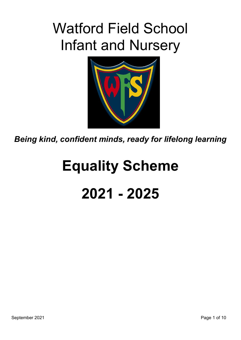# Watford Field School Infant and Nursery



*Being kind, confident minds, ready for lifelong learning* 

# **Equality Scheme 2021 - 2025**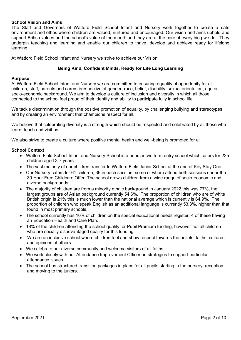#### **School Vision and Aims**

The Staff and Governors of Watford Field School Infant and Nursery work together to create a safe environment and ethos where children are valued, nurtured and encouraged. Our vision and aims uphold and support British values and the school's value of the month and they are at the core of everything we do. They underpin teaching and learning and enable our children to thrive, develop and achieve ready for lifelong learning.

At Watford Field School Infant and Nursery we strive to achieve our Vision:

#### **Being Kind, Confident Minds, Ready for Life Long Learning**

#### **Purpose**

At Watford Field School Infant and Nursery we are committed to ensuring equality of opportunity for all children, staff, parents and carers irrespective of gender, race, belief, disability, sexual orientation, age or socio-economic background. We aim to develop a culture of inclusion and diversity in which all those connected to the school feel proud of their identity and ability to participate fully in school life.

We tackle discrimination through the positive promotion of equality, by challenging bullying and stereotypes and by creating an environment that champions respect for all.

We believe that celebrating diversity is a strength which should be respected and celebrated by all those who learn, teach and visit us.

We also strive to create a culture where positive mental health and well-being is promoted for all.

#### **School Context**

- Watford Field School Infant and Nursery School is a popular two form entry school which caters for 225 children aged 3-7 years.
- The vast majority of our children transfer to Watford Field Junior School at the end of Key Stay One.
- Our Nursery caters for 61 children, 39 in each session, some of whom attend both sessions under the 30 Hour Free Childcare Offer. The school draws children from a wide range of socio-economic and diverse backgrounds.
- The majority of children are from a minority ethnic background in January 2022 this was 77%, the largest groups are of Asian background currently 54.6%. The proportion of children who are of white British origin is 21% this is much lower than the national average which is currently is 64.9%. The proportion of children who speak English as an additional language is currently 53.3%, higher than that found in most primary schools.
- The school currently has 10% of children on the special educational needs register, 4 of these having an Education Health and Care Plan.
- 18% of the children attending the school qualify for Pupil Premium funding, however not all children who are socially disadvantaged qualify for this funding.
- We are an inclusive school where children feel and show respect towards the beliefs, faiths, cultures and opinions of others.
- We celebrate our diverse community and welcome visitors of all faiths.
- We work closely with our Attendance Improvement Officer on strategies to support particular attendance issues.
- The school has structured transition packages in place for all pupils starting in the nursery, reception and moving to the juniors.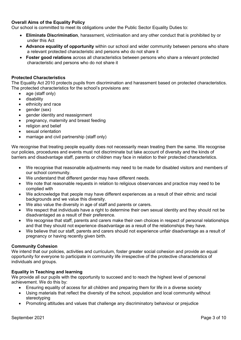#### **Overall Aims of the Equality Policy**

Our school is committed to meet its obligations under the Public Sector Equality Duties to:

- **Eliminate Discrimination**, harassment, victimisation and any other conduct that is prohibited by or under this Act
- **Advance equality of opportunity** within our school and wider community between persons who share a relevant protected characteristic and persons who do not share it
- **Foster good relations** across all characteristics between persons who share a relevant protected characteristic and persons who do not share it

#### **Protected Characteristics**

The Equality Act 2010 protects pupils from discrimination and harassment based on protected characteristics. The protected characteristics for the school's provisions are:

- age (staff only)
- **•** disability
- ethnicity and race
- $\bullet$  aender (sex)
- gender identity and reassignment
- pregnancy, maternity and breast feeding
- religion and belief
- sexual orientation
- marriage and civil partnership (staff only)

We recognise that treating people equality does not necessarily mean treating them the same. We recognise our policies, procedures and events must not discriminate but take account of diversity and the kinds of barriers and disadvantage staff, parents or children may face in relation to their protected characteristics.

- We recognise that reasonable adjustments may need to be made for disabled visitors and members of our school community.
- We understand that different gender may have different needs.
- We note that reasonable requests in relation to religious observances and practice may need to be complied with
- We acknowledge that people may have different experiences as a result of their ethnic and racial backgrounds and we value this diversity.
- We also value the diversity in age of staff and parents or carers.
- We respect that individuals have a right to determine their own sexual identity and they should not be disadvantaged as a result of their preference.
- We recognise that staff, parents and carers make their own choices in respect of personal relationships and that they should not experience disadvantage as a result of the relationships they have.
- We believe that our staff, parents and carers should not experience unfair disadvantage as a result of pregnancy or having recently given birth.

#### **Community Cohesion**

We intend that our policies, activities and curriculum, foster greater social cohesion and provide an equal opportunity for everyone to participate in community life irrespective of the protective characteristics of individuals and groups.

#### **Equality in Teaching and learning**

We provide all our pupils with the opportunity to succeed and to reach the highest level of personal achievement. We do this by:

- Ensuring equality of access for all children and preparing them for life in a diverse society
- Using materials that reflect the diversity of the school, population and local community without stereotyping
- Promoting attitudes and values that challenge any discriminatory behaviour or prejudice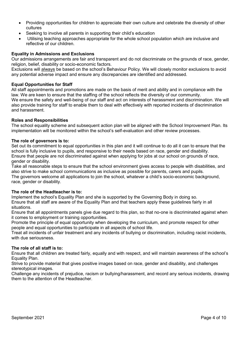- Providing opportunities for children to appreciate their own culture and celebrate the diversity of other cultures
- Seeking to involve all parents in supporting their child's education
- Utilising teaching approaches appropriate for the whole school population which are inclusive and reflective of our children.

#### **Equality in Admissions and Exclusions**

Our admissions arrangements are fair and transparent and do not discriminate on the grounds of race, gender, religion, belief, disability or socio-economic factors.

Exclusions will always be based on the school's Behaviour Policy. We will closely monitor exclusions to avoid any potential adverse impact and ensure any discrepancies are identified and addressed.

#### **Equal Opportunities for Staff**

All staff appointments and promotions are made on the basis of merit and ability and in compliance with the law. We are keen to ensure that the staffing of the school reflects the diversity of our community. We ensure the safety and well-being of our staff and act on interests of harassment and discrimination. We will also provide training for staff to enable them to deal with effectively with reported incidents of discrimination and harassment.

#### **Roles and Responsibilities**

The school equality scheme and subsequent action plan will be aligned with the School Improvement Plan. Its implementation will be monitored within the school's self-evaluation and other review processes.

#### **The role of governors is to:**

Set out its commitment to equal opportunities in this plan and it will continue to do all it can to ensure that the school is fully inclusive to pupils, and responsive to their needs based on race, gender and disability. Ensure that people are not discriminated against when applying for jobs at our school on grounds of race, gender or disability.

Take all reasonable steps to ensure that the school environment gives access to people with disabilities, and also strive to make school communications as inclusive as possible for parents, carers and pupils. The governors welcome all applications to join the school, whatever a child's socio-economic background, race, gender or disability.

#### **The role of the Headteacher is to:**

Implement the school's Equality Plan and she is supported by the Governing Body in doing so. Ensure that all staff are aware of the Equality Plan and that teachers apply these guidelines fairly in all situations.

Ensure that all appointments panels give due regard to this plan, so that no-one is discriminated against when it comes to employment or training opportunities.

Promote the principle of equal opportunity when developing the curriculum, and promote respect for other people and equal opportunities to participate in all aspects of school life.

Treat all incidents of unfair treatment and any incidents of bullying or discrimination, including racist incidents, with due seriousness.

#### **The role of all staff is to:**

Ensure that all children are treated fairly, equally and with respect, and will maintain awareness of the school's Equality Plan.

Strive to provide material that gives positive images based on race, gender and disability, and challenges stereotypical images.

Challenge any incidents of prejudice, racism or bullying/harassment, and record any serious incidents, drawing them to the attention of the Headteacher.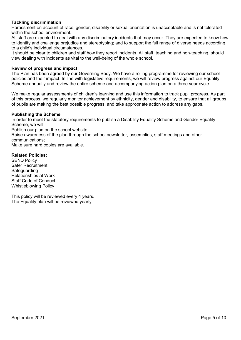#### **Tackling discrimination**

Harassment on account of race, gender, disability or sexual orientation is unacceptable and is not tolerated within the school environment.

All staff are expected to deal with any discriminatory incidents that may occur. They are expected to know how to identify and challenge prejudice and stereotyping; and to support the full range of diverse needs according to a child's individual circumstances.

It should be clear to children and staff how they report incidents. All staff, teaching and non-teaching, should view dealing with incidents as vital to the well-being of the whole school.

#### **Review of progress and impact**

The Plan has been agreed by our Governing Body. We have a rolling programme for reviewing our school policies and their impact. In line with legislative requirements, we will review progress against our Equality Scheme annually and review the entire scheme and accompanying action plan on a three year cycle.

We make regular assessments of children's learning and use this information to track pupil progress. As part of this process, we regularly monitor achievement by ethnicity, gender and disability, to ensure that all groups of pupils are making the best possible progress, and take appropriate action to address any gaps.

#### **Publishing the Scheme**

In order to meet the statutory requirements to publish a Disability Equality Scheme and Gender Equality Scheme, we will:

Publish our plan on the school website;

Raise awareness of the plan through the school newsletter, assemblies, staff meetings and other communications;

Make sure hard copies are available.

#### **Related Policies:**

SEND Policy Safer Recruitment **Safeguarding** Relationships at Work Staff Code of Conduct Whistleblowing Policy

This policy will be reviewed every 4 years. The Equality plan will be reviewed yearly.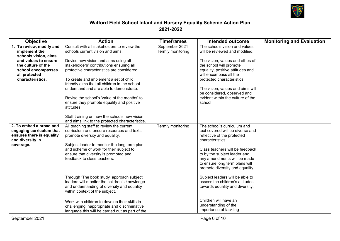

# **Watford Field School Infant and Nursery Equality Scheme Action Plan 2021-2022**

| <b>Objective</b>                                                                                                                                                           | <b>Action</b>                                                                                                                                                                                                                                                                                                                                           | <b>Timeframes</b>                   | Intended outcome                                                                                                                                                                                                                                                                          | <b>Monitoring and Evaluation</b> |
|----------------------------------------------------------------------------------------------------------------------------------------------------------------------------|---------------------------------------------------------------------------------------------------------------------------------------------------------------------------------------------------------------------------------------------------------------------------------------------------------------------------------------------------------|-------------------------------------|-------------------------------------------------------------------------------------------------------------------------------------------------------------------------------------------------------------------------------------------------------------------------------------------|----------------------------------|
| 1. To review, modify and<br>implement the<br>schools vision, aims<br>and values to ensure<br>the culture of the<br>school encompasses<br>all protected<br>characteristics. | Consult with all stakeholders to review the<br>schools current vision and aims.<br>Devise new vision and aims using all<br>stakeholders' contributions ensuring all<br>protective characteristics are considered.<br>To create and implement a set of child<br>friendly aims that all children in the school<br>understand and are able to demonstrate. | September 2021<br>Termly monitoring | The schools vision and values<br>will be reviewed and modified.<br>The vision, values and ethos of<br>the school will promote<br>equality, positive attitudes and<br>will encompass all the<br>protected characteristics.<br>The vision, values and aims will                             |                                  |
|                                                                                                                                                                            | Revise the school's 'value of the months' to<br>ensure they promote equality and positive<br>attitudes.<br>Staff training on how the schools new vision<br>and aims link to the protected characteristics.                                                                                                                                              |                                     | be considered, observed and<br>evident within the culture of the<br>school                                                                                                                                                                                                                |                                  |
| 2. To embed a broad and<br>engaging curriculum that<br>ensures there is equality<br>and diversity in<br>coverage.                                                          | All teaching staff to review the current<br>curriculum and ensure resources and texts<br>promote diversity and equality.<br>Subject leader to monitor the long term plan<br>and scheme of work for their subject to<br>ensure that diversity is promoted and<br>feedback to class teachers.                                                             | Termly monitoring                   | The school's curriculum and<br>text covered will be diverse and<br>reflective of the protected<br>characteristics.<br>Class teachers will be feedback<br>to by the subject leader and<br>any amendments will be made<br>to ensure long term plans will<br>promote diversity and equality. |                                  |
|                                                                                                                                                                            | Through 'The book study' approach subject<br>leaders will monitor the children's knowledge<br>and understanding of diversity and equality<br>within context of the subject.<br>Work with children to develop their skills in<br>challenging inappropriate and discriminative<br>language this will be carried out as part of the                        |                                     | Subject leaders will be able to<br>assess the children's attitudes<br>towards equality and diversity.<br>Children will have an<br>understanding of the<br>importance of tackling                                                                                                          |                                  |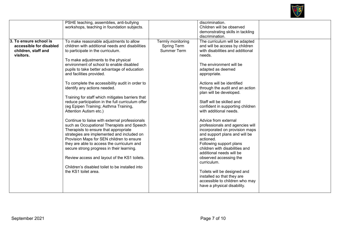

|                                                                                       | PSHE teaching, assemblies, anti-bullying<br>workshops, teaching in foundation subjects.                                                                                                                                                                                                                                                                                                                                                                                                                                                                                                                                                                                                                                                                                                                                                                                                                                                                                                                                 |                                                               | discrimination.<br>Children will be observed<br>demonstrating skills in tackling<br>discrimination.                                                                                                                                                                                                                                                                                                                                                                                                                                                                                                                                                                                                                                                                               |  |
|---------------------------------------------------------------------------------------|-------------------------------------------------------------------------------------------------------------------------------------------------------------------------------------------------------------------------------------------------------------------------------------------------------------------------------------------------------------------------------------------------------------------------------------------------------------------------------------------------------------------------------------------------------------------------------------------------------------------------------------------------------------------------------------------------------------------------------------------------------------------------------------------------------------------------------------------------------------------------------------------------------------------------------------------------------------------------------------------------------------------------|---------------------------------------------------------------|-----------------------------------------------------------------------------------------------------------------------------------------------------------------------------------------------------------------------------------------------------------------------------------------------------------------------------------------------------------------------------------------------------------------------------------------------------------------------------------------------------------------------------------------------------------------------------------------------------------------------------------------------------------------------------------------------------------------------------------------------------------------------------------|--|
| 3. To ensure school is<br>accessible for disabled<br>children, staff and<br>visitors. | To make reasonable adjustments to allow<br>children with additional needs and disabilities<br>to participate in the curriculum.<br>To make adjustments to the physical<br>environment of school to enable disabled<br>pupils to take better advantage of education<br>and facilities provided.<br>To complete the accessibility audit in order to<br>identify any actions needed.<br>Training for staff which mitigates barriers that<br>reduce participation in the full curriculum offer<br>(eg Epipen Training; Asthma Training,<br>Attention Autism etc.)<br>Continue to liaise with external professionals<br>such as Occupational Therapists and Speech<br>Therapists to ensure that appropriate<br>strategies are implemented and included on<br>Provision Maps for SEN children to ensure<br>they are able to access the curriculum and<br>secure strong progress in their learning.<br>Review access and layout of the KS1 toilets.<br>Children's disabled toilet to be installed into<br>the KS1 toilet area. | Termly monitoring<br><b>Spring Term</b><br><b>Summer Term</b> | The curriculum will be adapted<br>and will be access by children<br>with disabilities and additional<br>needs.<br>The environment will be<br>adapted as deemed<br>appropriate.<br>Actions will be identified<br>through the audit and an action<br>plan will be developed.<br>Staff will be skilled and<br>confident in supporting children<br>with additional needs.<br>Advice from external<br>professionals and agencies will<br>incorporated on provision maps<br>and support plans and will be<br>actioned.<br>Following support plans<br>children with disabilities and<br>additional needs will be<br>observed accessing the<br>curriculum.<br>Toilets will be designed and<br>installed so that they are<br>accessible to children who may<br>have a physical disability. |  |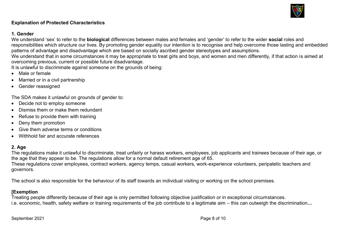

# **Explanation of Protected Characteristics**

# **1. Gender**

We understand 'sex' to refer to the **biological** differences between males and females and 'gender' to refer to the wider **social** roles and responsibilities which structure our lives. By promoting gender equality our intention is to recognise and help overcome those lasting and embedded patterns of advantage and disadvantage which are based on socially ascribed gender stereotypes and assumptions.

We understand that in some circumstances it may be appropriate to treat girls and boys, and women and men differently, if that action is aimed at overcoming previous, current or possible future disadvantage.

It is unlawful to discriminate against someone on the grounds of being:

- Male or female
- Married or in a civil partnership
- Gender reassigned

The SDA makes it unlawful on grounds of gender to:

- Decide not to employ someone
- Dismiss them or make them redundant
- Refuse to provide them with training
- Deny them promotion
- Give them adverse terms or conditions
- Withhold fair and accurate references

# **2. Age**

The regulations make it unlawful to discriminate, treat unfairly or harass workers, employees, job applicants and trainees because of their age, or the age that they appear to be. The regulations allow for a normal default retirement age of 65. These regulations cover employees, contract workers, agency temps, casual workers, work-experience volunteers, peripatetic teachers and

governors.

The school is also responsible for the behaviour of its staff towards an individual visiting or working on the school premises.

# **[Exemption**

Treating people differently because of their age is only permitted following objective justification or in exceptional circumstances. i.e. economic, health, safety welfare or training requirements of the job contribute to a legitimate aim – this can outweigh the discrimination**…** 

September 2021 **Page 8 of 10**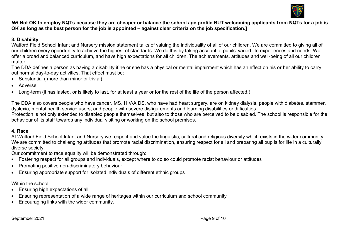

# *NB* **Not OK to employ NQTs because they are cheaper or balance the school age profile BUT welcoming applicants from NQTs for a job is OK as long as the best person for the job is appointed – against clear criteria on the job specification.]**

# **3. Disability**

Watford Field School Infant and Nursery mission statement talks of valuing the individuality of all of our children. We are committed to giving all of our children every opportunity to achieve the highest of standards. We do this by taking account of pupils' varied life experiences and needs. We offer a broad and balanced curriculum, and have high expectations for all children. The achievements, attitudes and well-being of all our children matter.

The DDA defines a person as having a disability if he or she has a physical or mental impairment which has an effect on his or her ability to carry out normal day-to-day activities. That effect must be:

- Substantial ( more than minor or trivial)
- Adverse
- Long-term (it has lasted, or is likely to last, for at least a year or for the rest of the life of the person affected.)

The DDA also covers people who have cancer, MS, HIV/AIDS, who have had heart surgery, are on kidney dialysis, people with diabetes, stammer, dyslexia, mental health service users, and people with severe disfigurements and learning disabilities or difficulties.

Protection is not only extended to disabled people themselves, but also to those who are perceived to be disabled. The school is responsible for the behaviour of its staff towards any individual visiting or working on the school premises.

# **4. Race**

At Watford Field School Infant and Nursery we respect and value the linguistic, cultural and religious diversity which exists in the wider community. We are committed to challenging attitudes that promote racial discrimination, ensuring respect for all and preparing all pupils for life in a culturally diverse society.

Our commitment to race equality will be demonstrated through:

- Fostering respect for all groups and individuals, except where to do so could promote racist behaviour or attitudes
- Promoting positive non-discriminatory behaviour
- Ensuring appropriate support for isolated individuals of different ethnic groups

Within the school

- Ensuring high expectations of all
- Ensuring representation of a wide range of heritages within our curriculum and school community
- Encouraging links with the wider community.